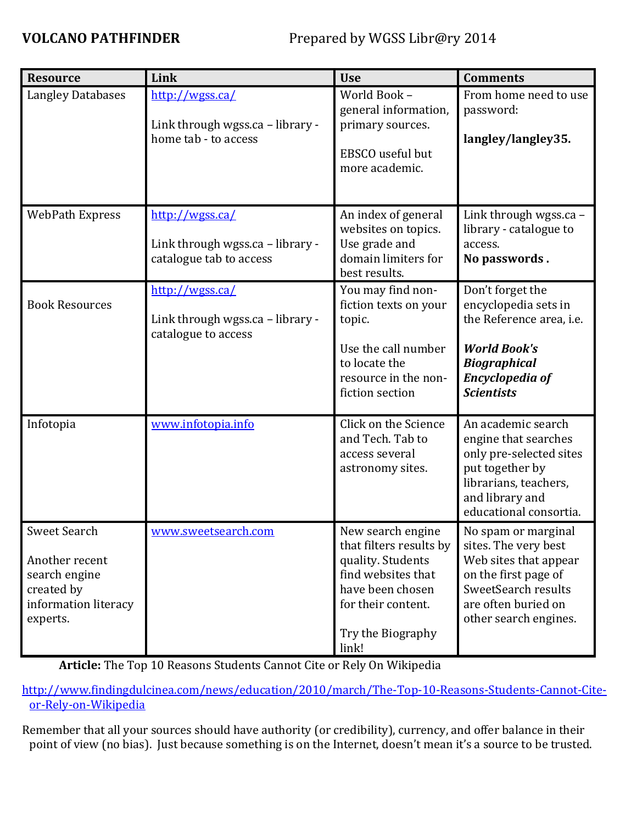| <b>Resource</b>                                                                                          | Link                                                                           | <b>Use</b>                                                                                                                                                      | <b>Comments</b>                                                                                                                                                     |
|----------------------------------------------------------------------------------------------------------|--------------------------------------------------------------------------------|-----------------------------------------------------------------------------------------------------------------------------------------------------------------|---------------------------------------------------------------------------------------------------------------------------------------------------------------------|
| <b>Langley Databases</b>                                                                                 | http://wgss.ca/<br>Link through wgss.ca - library -<br>home tab - to access    | World Book -<br>general information,<br>primary sources.<br>EBSCO useful but<br>more academic.                                                                  | From home need to use<br>password:<br>langley/langley35.                                                                                                            |
| <b>WebPath Express</b>                                                                                   | http://wgss.ca/<br>Link through wgss.ca - library -<br>catalogue tab to access | An index of general<br>websites on topics.<br>Use grade and<br>domain limiters for<br>best results.                                                             | Link through wgss.ca -<br>library - catalogue to<br>access.<br>No passwords.                                                                                        |
| <b>Book Resources</b>                                                                                    | http://wgss.ca/<br>Link through wgss.ca - library -<br>catalogue to access     | You may find non-<br>fiction texts on your<br>topic.<br>Use the call number<br>to locate the<br>resource in the non-<br>fiction section                         | Don't forget the<br>encyclopedia sets in<br>the Reference area, i.e.<br><b>World Book's</b><br><b>Biographical</b><br><b>Encyclopedia of</b><br><b>Scientists</b>   |
| Infotopia                                                                                                | www.infotopia.info                                                             | Click on the Science<br>and Tech. Tab to<br>access several<br>astronomy sites.                                                                                  | An academic search<br>engine that searches<br>only pre-selected sites<br>put together by<br>librarians, teachers,<br>and library and<br>educational consortia.      |
| <b>Sweet Search</b><br>Another recent<br>search engine<br>created by<br>information literacy<br>experts. | www.sweetsearch.com                                                            | New search engine<br>that filters results by<br>quality. Students<br>find websites that<br>have been chosen<br>for their content.<br>Try the Biography<br>link! | No spam or marginal<br>sites. The very best<br>Web sites that appear<br>on the first page of<br>SweetSearch results<br>are often buried on<br>other search engines. |

**Article:** The Top 10 Reasons Students Cannot Cite or Rely On Wikipedia

[http://www.findingdulcinea.com/news/education/2010/march/The-Top-10-Reasons-Students-Cannot-Cite](http://www.findingdulcinea.com/news/education/2010/march/The-Top-10-Reasons-Students-Cannot-Cite-or-Rely-on-Wikipedia)[or-Rely-on-Wikipedia](http://www.findingdulcinea.com/news/education/2010/march/The-Top-10-Reasons-Students-Cannot-Cite-or-Rely-on-Wikipedia)

Remember that all your sources should have authority (or credibility), currency, and offer balance in their point of view (no bias). Just because something is on the Internet, doesn't mean it's a source to be trusted.